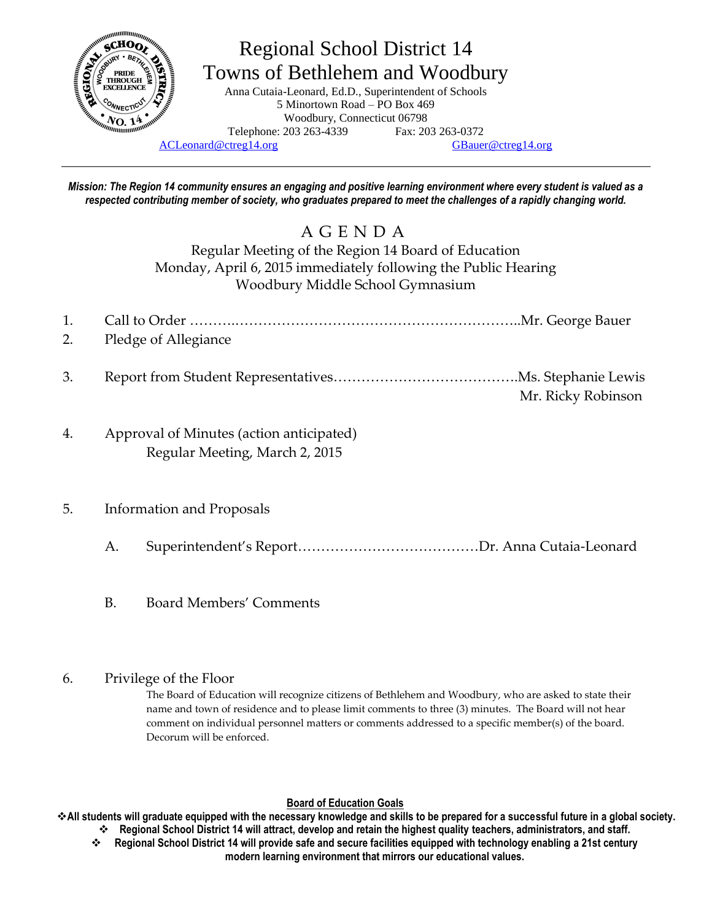

# Regional School District 14 Towns of Bethlehem and Woodbury

Anna Cutaia-Leonard, Ed.D., Superintendent of Schools 5 Minortown Road – PO Box 469 Woodbury, Connecticut 06798 Telephone: 203 263-4339 Fax: 203 263-0372

[ACLeonard@ctreg14.org](mailto:ACLeonard@ctreg14.org) [GBauer@ctreg14.org](mailto:GBauer@ctreg14.org)

*Mission: The Region 14 community ensures an engaging and positive learning environment where every student is valued as a respected contributing member of society, who graduates prepared to meet the challenges of a rapidly changing world.*

# A G E N D A

Regular Meeting of the Region 14 Board of Education Monday, April 6, 2015 immediately following the Public Hearing Woodbury Middle School Gymnasium

- 1. Call to Order ……….……………………………………………………..Mr. George Bauer
- 2. Pledge of Allegiance
- 3. Report from Student Representatives………………………………….Ms. Stephanie Lewis Mr. Ricky Robinson
- 4. Approval of Minutes (action anticipated) Regular Meeting, March 2, 2015
- 5. Information and Proposals
	- A. Superintendent's Report…………………………………Dr. Anna Cutaia-Leonard
	- B. Board Members' Comments

#### 6. Privilege of the Floor

The Board of Education will recognize citizens of Bethlehem and Woodbury, who are asked to state their name and town of residence and to please limit comments to three (3) minutes. The Board will not hear comment on individual personnel matters or comments addressed to a specific member(s) of the board. Decorum will be enforced.

#### **Board of Education Goals**

**All students will graduate equipped with the necessary knowledge and skills to be prepared for a successful future in a global society. Regional School District 14 will attract, develop and retain the highest quality teachers, administrators, and staff.**

 **Regional School District 14 will provide safe and secure facilities equipped with technology enabling a 21st century modern learning environment that mirrors our educational values.**